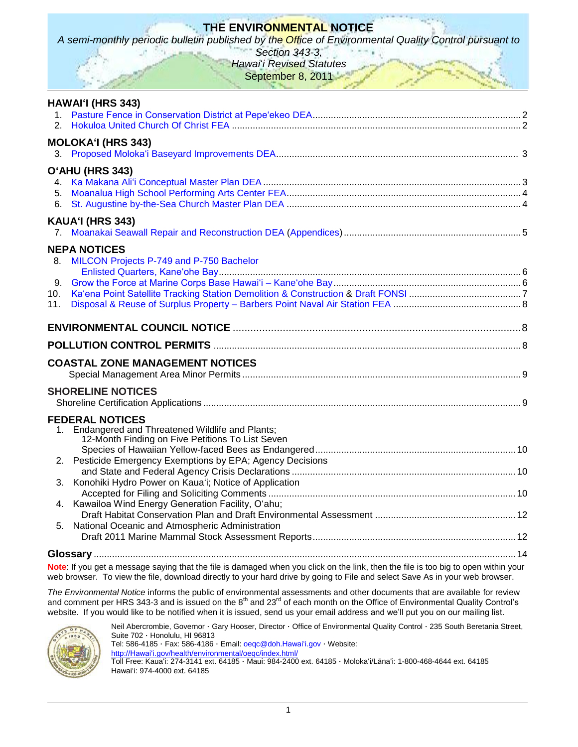# **THE ENVIRONMENTAL NOTICE**

*A semi-monthly periodic bulletin published by the Office of Environmental Quality Control pursuant to* 

*Section 343-3, Hawai*'*i Revised Statutes* September 8, 2011

|     | HAWAI'I (HRS 343)                                                                                                   |  |
|-----|---------------------------------------------------------------------------------------------------------------------|--|
|     |                                                                                                                     |  |
|     | <b>MOLOKA'I (HRS 343)</b>                                                                                           |  |
|     |                                                                                                                     |  |
|     | O'AHU (HRS 343)                                                                                                     |  |
|     |                                                                                                                     |  |
| 5.  |                                                                                                                     |  |
| 6.  |                                                                                                                     |  |
|     | KAUA'I (HRS 343)                                                                                                    |  |
|     |                                                                                                                     |  |
|     | <b>NEPA NOTICES</b>                                                                                                 |  |
| 8.  | MILCON Projects P-749 and P-750 Bachelor                                                                            |  |
| 9.  |                                                                                                                     |  |
| 10. |                                                                                                                     |  |
| 11. |                                                                                                                     |  |
|     |                                                                                                                     |  |
|     |                                                                                                                     |  |
|     |                                                                                                                     |  |
|     | <b>COASTAL ZONE MANAGEMENT NOTICES</b>                                                                              |  |
|     |                                                                                                                     |  |
|     | <b>SHORELINE NOTICES</b>                                                                                            |  |
|     |                                                                                                                     |  |
|     | <b>FEDERAL NOTICES</b>                                                                                              |  |
| 1.  | Endangered and Threatened Wildlife and Plants;                                                                      |  |
|     | 12-Month Finding on Five Petitions To List Seven                                                                    |  |
|     |                                                                                                                     |  |
| 2.  | Pesticide Emergency Exemptions by EPA; Agency Decisions                                                             |  |
| 3.  | Konohiki Hydro Power on Kaua'i; Notice of Application                                                               |  |
|     |                                                                                                                     |  |
| 4.  | Kawailoa Wind Energy Generation Facility, O'ahu;                                                                    |  |
|     |                                                                                                                     |  |
| 5.  | National Oceanic and Atmospheric Administration                                                                     |  |
|     |                                                                                                                     |  |
|     | and the contract of the contract of the contract of the contract of the contract of the contract of the contract of |  |

**Note**: If you get a message saying that the file is damaged when you click on the link, then the file is too big to open within your web browser. To view the file, download directly to your hard drive by going to File and select Save As in your web browser.

*The Environmental Notice* informs the public of environmental assessments and other documents that are available for review and comment per HRS 343-3 and is issued on the 8<sup>th</sup> and 23<sup>rd</sup> of each month on the Office of Environmental Quality Control's website. If you would like to be notified when it is issued, send us your email address and we'll put you on our mailing list.



Neil Abercrombie, Governor · Gary Hooser, Director · Office of Environmental Quality Control · 235 South Beretania Street, Suite 702 · Honolulu, HI 96813

Tel: 586-4185 · Fax: 586-4186 · Email: [oeqc@doh.Hawaiʻi.gov](mailto:oeqc@doh.hawaii.gov) · Website:

[http://Hawaiʻi.gov/health/environmental/oeqc/index.html/](http://hawaii.gov/health/environmental/oeqc/index.html/)

Toll Free: Kauaʻi: 274-3141 ext. 64185 · Maui: 984-2400 ext. 64185 · Molokaʻi/Lānaʻi: 1-800-468-4644 ext. 64185 Hawaiʻi: 974-4000 ext. 64185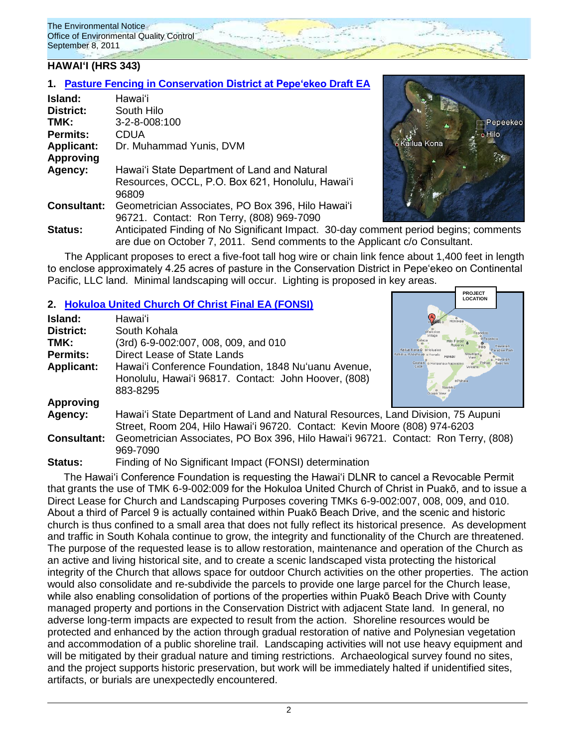### **HAWAIʻI (HRS 343)**

### **1. Pasture Fencing [in Conservation District at Pepeʻekeo](http://oeqc.doh.hawaii.gov/Shared%20Documents/EA_and_EIS_Online_Library/Hawaii/2010s/2011-09-08-DEA-Pasture-Fencing-in-Pepeekeo-Conservation-District.pdf) Draft EA**

| Island:            | Hawaiʻi                                             |
|--------------------|-----------------------------------------------------|
| District:          | South Hilo                                          |
| TMK:               | 3-2-8-008:100                                       |
| <b>Permits:</b>    | CDUA                                                |
| <b>Applicant:</b>  | Dr. Muhammad Yunis, DVM                             |
| <b>Approving</b>   |                                                     |
| Agency:            | Hawai'i State Department of Land and Natural        |
|                    | Resources, OCCL, P.O. Box 621, Honolulu, Hawai'i    |
|                    | 96809                                               |
| <b>Consultant:</b> | Geometrician Associates, PO Box 396, Hilo Hawai'i   |
|                    | 96721. Contact: Ron Terry, (808) 969-7090           |
| Statue             | Anticipated Finding of No Significant Impact 30-day |



**PROJECT LOCATION**

Finding of No Significant Impact. 30-day comment period begins; comments are due on October 7, 2011. Send comments to the Applicant c/o Consultant.

The Applicant proposes to erect a five-foot tall hog wire or chain link fence about 1,400 feet in length to enclose approximately 4.25 acres of pasture in the Conservation District in Pepeʻekeo on Continental Pacific, LLC land. Minimal landscaping will occur. Lighting is proposed in key areas.

### **2. [Hokuloa United Church Of Christ](http://oeqc.doh.hawaii.gov/Shared%20Documents/EA_and_EIS_Online_Library/Hawaii/2010s/2011-09-08-FEA-Hokuloa-United-Church-of-Christ-State-Land-Lease.pdf) Final EA (FONSI)**

| Island:            | Hawaiʻi                                                                            |          |  |
|--------------------|------------------------------------------------------------------------------------|----------|--|
| <b>District:</b>   | South Kohala                                                                       | Waikoloa |  |
| TMK:               | (3rd) 6-9-002:007, 008, 009, and 010                                               |          |  |
| <b>Permits:</b>    | Direct Lease of State Lands                                                        | Mountair |  |
| <b>Applicant:</b>  | Hawai'i Conference Foundation, 1848 Nu'uanu Avenue,                                | Cook     |  |
|                    | Honolulu, Hawai'i 96817. Contact: John Hoover, (808)                               | oPahal   |  |
|                    | 883-8295                                                                           |          |  |
| <b>Approving</b>   |                                                                                    |          |  |
| Agency:            | Hawai'i State Department of Land and Natural Resources, Land Division, 75 Aupuni   |          |  |
|                    | Street, Room 204, Hilo Hawai'i 96720. Contact: Kevin Moore (808) 974-6203          |          |  |
| <b>Consultant:</b> | Geometrician Associates, PO Box 396, Hilo Hawai'i 96721. Contact: Ron Terry, (808) |          |  |
|                    | 969-7090                                                                           |          |  |

**Status:** Finding of No Significant Impact (FONSI) determination

The Hawaiʻi Conference Foundation is requesting the Hawai'i DLNR to cancel a Revocable Permit that grants the use of TMK 6-9-002:009 for the Hokuloa United Church of Christ in Puakō, and to issue a Direct Lease for Church and Landscaping Purposes covering TMKs 6-9-002:007, 008, 009, and 010. About a third of Parcel 9 is actually contained within Puakō Beach Drive, and the scenic and historic church is thus confined to a small area that does not fully reflect its historical presence. As development and traffic in South Kohala continue to grow, the integrity and functionality of the Church are threatened. The purpose of the requested lease is to allow restoration, maintenance and operation of the Church as an active and living historical site, and to create a scenic landscaped vista protecting the historical integrity of the Church that allows space for outdoor Church activities on the other properties. The action would also consolidate and re-subdivide the parcels to provide one large parcel for the Church lease, while also enabling consolidation of portions of the properties within Puakō Beach Drive with County managed property and portions in the Conservation District with adjacent State land. In general, no adverse long-term impacts are expected to result from the action. Shoreline resources would be protected and enhanced by the action through gradual restoration of native and Polynesian vegetation and accommodation of a public shoreline trail. Landscaping activities will not use heavy equipment and will be mitigated by their gradual nature and timing restrictions. Archaeological survey found no sites, and the project supports historic preservation, but work will be immediately halted if unidentified sites, artifacts, or burials are unexpectedly encountered.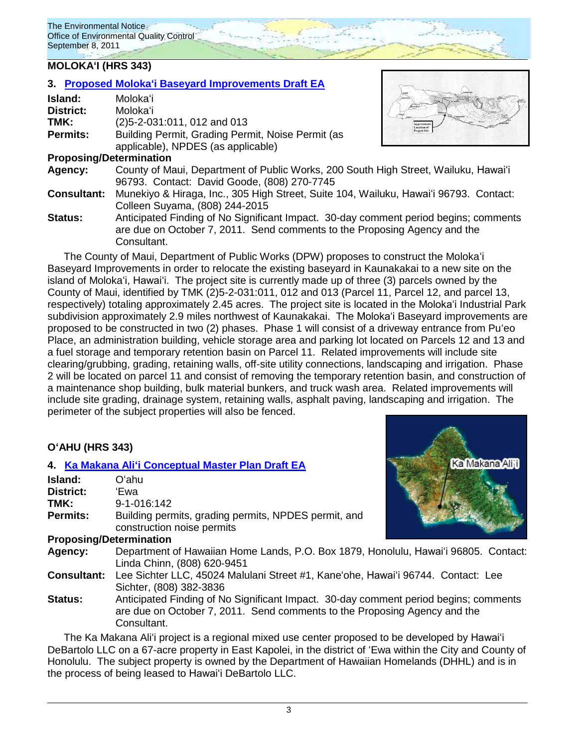# **MOLOKAʻI (HRS 343)**

|      |                  | 3. Proposed Moloka'i Baseyard Improvements Draft EA |
|------|------------------|-----------------------------------------------------|
|      | Island:          | Moloka'i                                            |
|      | <b>District:</b> | Moloka'i                                            |
| TMK: |                  | $(2)5 - 2 - 031$ :011, 012 and 013                  |
|      | <b>Permits:</b>  | Building Permit, Grading Permit, Noise Permit (as   |
|      |                  | applicable), NPDES (as applicable)                  |
|      |                  | <b>Proposing/Determination</b>                      |
|      |                  |                                                     |



- **Agency:** County of Maui, Department of Public Works, 200 South High Street, Wailuku, Hawaiʻi 96793. Contact: David Goode, (808) 270-7745
- **Consultant:** Munekiyo & Hiraga, Inc., 305 High Street, Suite 104, Wailuku, Hawaiʻi 96793. Contact: Colleen Suyama, (808) 244-2015
- **Status:** Anticipated Finding of No Significant Impact. 30-day comment period begins; comments are due on October 7, 2011. Send comments to the Proposing Agency and the Consultant.

The County of Maui, Department of Public Works (DPW) proposes to construct the Molokaʻi Baseyard Improvements in order to relocate the existing baseyard in Kaunakakai to a new site on the island of Molokaʻi, Hawaiʻi. The project site is currently made up of three (3) parcels owned by the County of Maui, identified by TMK (2)5-2-031:011, 012 and 013 (Parcel 11, Parcel 12, and parcel 13, respectively) totaling approximately 2.45 acres. The project site is located in the Molokaʻi Industrial Park subdivision approximately 2.9 miles northwest of Kaunakakai. The Molokaʻi Baseyard improvements are proposed to be constructed in two (2) phases. Phase 1 will consist of a driveway entrance from Puʻeo Place, an administration building, vehicle storage area and parking lot located on Parcels 12 and 13 and a fuel storage and temporary retention basin on Parcel 11. Related improvements will include site clearing/grubbing, grading, retaining walls, off-site utility connections, landscaping and irrigation. Phase 2 will be located on parcel 11 and consist of removing the temporary retention basin, and construction of a maintenance shop building, bulk material bunkers, and truck wash area. Related improvements will include site grading, drainage system, retaining walls, asphalt paving, landscaping and irrigation. The perimeter of the subject properties will also be fenced.

# **OʻAHU (HRS 343)**

|                                | 4. Ka Makana Ali'i Conceptual Master Plan Draft EA                                                                                                                               | Ka Makana Aliji |  |
|--------------------------------|----------------------------------------------------------------------------------------------------------------------------------------------------------------------------------|-----------------|--|
| Island:                        | Oʻahu                                                                                                                                                                            |                 |  |
| <b>District:</b>               | 'Ewa                                                                                                                                                                             |                 |  |
| TMK:                           | 9-1-016:142                                                                                                                                                                      |                 |  |
| Permits:                       | Building permits, grading permits, NPDES permit, and<br>construction noise permits                                                                                               |                 |  |
| <b>Proposing/Determination</b> |                                                                                                                                                                                  |                 |  |
| Agency:                        | Department of Hawaiian Home Lands, P.O. Box 1879, Honolulu, Hawai'i 96805. Contact:<br>Linda Chinn, (808) 620-9451                                                               |                 |  |
| <b>Consultant:</b>             | Lee Sichter LLC, 45024 Malulani Street #1, Kane'ohe, Hawai'i 96744. Contact: Lee<br>Sichter, (808) 382-3836                                                                      |                 |  |
| <b>Status:</b>                 | Anticipated Finding of No Significant Impact. 30-day comment period begins; comments<br>are due on October 7, 2011. Send comments to the Proposing Agency and the<br>Consultant. |                 |  |

The Ka Makana Aliʻi project is a regional mixed use center proposed to be developed by Hawaiʻi DeBartolo LLC on a 67-acre property in East Kapolei, in the district of ʻEwa within the City and County of Honolulu. The subject property is owned by the Department of Hawaiian Homelands (DHHL) and is in the process of being leased to Hawaiʻi DeBartolo LLC.

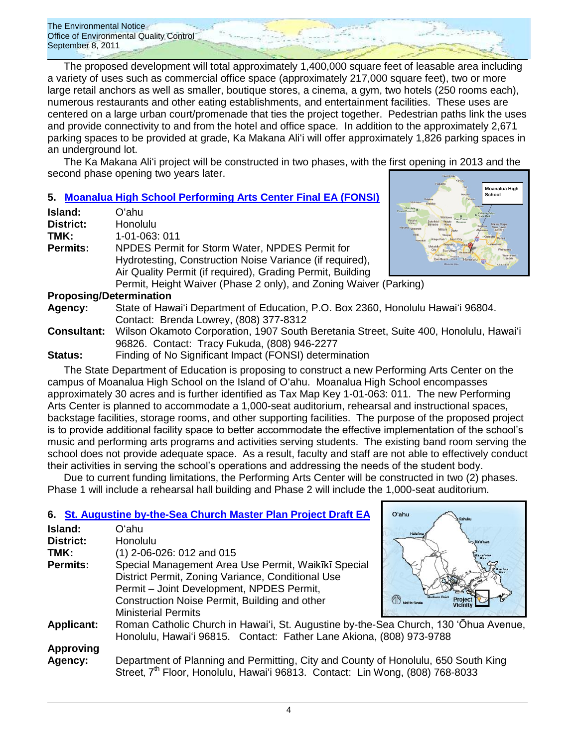The proposed development will total approximately 1,400,000 square feet of leasable area including a variety of uses such as commercial office space (approximately 217,000 square feet), two or more large retail anchors as well as smaller, boutique stores, a cinema, a gym, two hotels (250 rooms each), numerous restaurants and other eating establishments, and entertainment facilities. These uses are centered on a large urban court/promenade that ties the project together. Pedestrian paths link the uses and provide connectivity to and from the hotel and office space. In addition to the approximately 2,671 parking spaces to be provided at grade, Ka Makana Aliʻi will offer approximately 1,826 parking spaces in an underground lot.

The Ka Makana Aliʻi project will be constructed in two phases, with the first opening in 2013 and the second phase opening two years later.

# **5. [Moanalua High School Performing Arts Center Final EA \(FONSI\)](http://oeqc.doh.hawaii.gov/Shared%20Documents/EA_and_EIS_Online_Library/Oahu/2010s/2011-09-08-FEA-Moanalua-HS-Arts-Center.pdf)**

| <b>Island:</b>   | Oʻahu                                                             |        |
|------------------|-------------------------------------------------------------------|--------|
| <b>District:</b> | Honolulu                                                          | Makaha |
| TMK:             | 1-01-063: 011                                                     | Nanaku |
| <b>Permits:</b>  | NPDES Permit for Storm Water, NPDES Permit for                    |        |
|                  | Hydrotesting, Construction Noise Variance (if required),          |        |
|                  | Air Quality Permit (if required), Grading Permit, Building        |        |
|                  | Permit, Height Waiver (Phase 2 only), and Zoning Waiver (Parking) |        |



### **Proposing/Determination**

**Agency:** State of Hawaiʻi Department of Education, P.O. Box 2360, Honolulu Hawaiʻi 96804. Contact:Brenda Lowrey, (808) 377-8312

- **Consultant:** Wilson Okamoto Corporation, 1907 South Beretania Street, Suite 400, Honolulu, Hawaiʻi 96826. Contact: Tracy Fukuda, (808) 946-2277
- **Status:** Finding of No Significant Impact (FONSI) determination

The State Department of Education is proposing to construct a new Performing Arts Center on the campus of Moanalua High School on the Island of Oʻahu. Moanalua High School encompasses approximately 30 acres and is further identified as Tax Map Key 1-01-063: 011. The new Performing Arts Center is planned to accommodate a 1,000-seat auditorium, rehearsal and instructional spaces, backstage facilities, storage rooms, and other supporting facilities. The purpose of the proposed project is to provide additional facility space to better accommodate the effective implementation of the school's music and performing arts programs and activities serving students. The existing band room serving the school does not provide adequate space. As a result, faculty and staff are not able to effectively conduct their activities in serving the school's operations and addressing the needs of the student body.

Due to current funding limitations, the Performing Arts Center will be constructed in two (2) phases. Phase 1 will include a rehearsal hall building and Phase 2 will include the 1,000-seat auditorium.

### **6. [St. Augustine by-the-Sea Church Master Plan Project Draft EA](http://oeqc.doh.hawaii.gov/Shared%20Documents/EA_and_EIS_Online_Library/Oahu/2010s/2011-09-08-DEA-St-Augustine-By-The-Sea-Master-Plan-in-Waikiki.pdf) Island:** Oʻahu

| District:         | Honolulu                                                |
|-------------------|---------------------------------------------------------|
| TMK:              | $(1)$ 2-06-026: 012 and 015                             |
| <b>Permits:</b>   | Special Management Area Use Permit, Waikīkī Special     |
|                   | District Permit, Zoning Variance, Conditional Use       |
|                   | Permit - Joint Development, NPDES Permit,               |
|                   | Construction Noise Permit, Building and other           |
|                   | <b>Ministerial Permits</b>                              |
| <b>Applicant:</b> | Roman Catholic Church in Hawai'i, St. Augustine by-the- |
|                   | Honolulu, Hawai'i 96815. Contact: Father Lane Akiona.   |



Sea Church, 130 'Ōhua Avenue. (808) 973-9788

# **Approving**

**Agency:** Department of Planning and Permitting, City and County of Honolulu, 650 South King Street, 7<sup>th</sup> Floor, Honolulu, Hawai'i 96813. Contact: Lin Wong, (808) 768-8033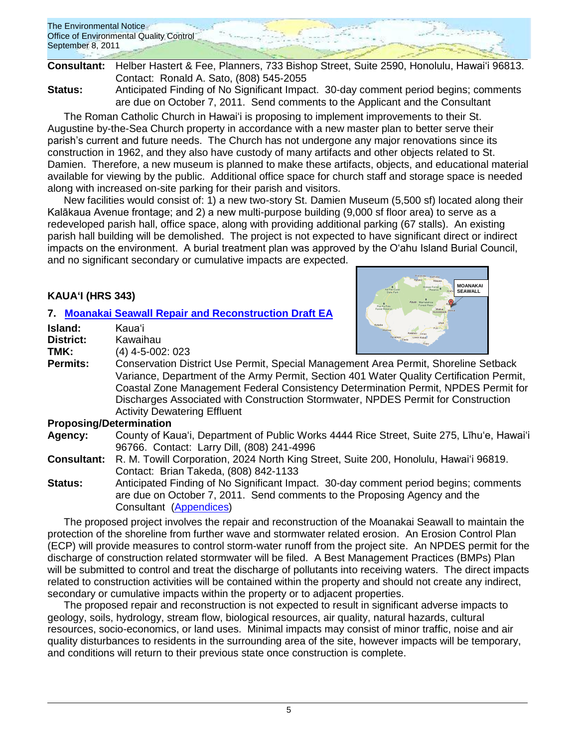

**Consultant:** Helber Hastert & Fee, Planners, 733 Bishop Street, Suite 2590, Honolulu, Hawaiʻi 96813. Contact: Ronald A. Sato, (808) 545-2055

**Status:** Anticipated Finding of No Significant Impact. 30-day comment period begins; comments are due on October 7, 2011. Send comments to the Applicant and the Consultant

The Roman Catholic Church in Hawaiʻi is proposing to implement improvements to their St. Augustine by-the-Sea Church property in accordance with a new master plan to better serve their parish's current and future needs. The Church has not undergone any major renovations since its construction in 1962, and they also have custody of many artifacts and other objects related to St. Damien. Therefore, a new museum is planned to make these artifacts, objects, and educational material available for viewing by the public. Additional office space for church staff and storage space is needed along with increased on-site parking for their parish and visitors.

New facilities would consist of: 1) a new two-story St. Damien Museum (5,500 sf) located along their Kalākaua Avenue frontage; and 2) a new multi-purpose building (9,000 sf floor area) to serve as a redeveloped parish hall, office space, along with providing additional parking (67 stalls). An existing parish hall building will be demolished. The project is not expected to have significant direct or indirect impacts on the environment. A burial treatment plan was approved by the O'ahu Island Burial Council, and no significant secondary or cumulative impacts are expected.

# **KAUAʻI (HRS 343)**

# **7. Moanakai Seawall Repair [and Reconstruction Draft EA](http://oeqc.doh.hawaii.gov/Shared%20Documents/EA_and_EIS_Online_Library/Kauai/2010s/2011-09-08-DEA-Moanakai-Seawall-Repair-Reconstruction.pdf)**

| Island:              | Kauaʻi             |
|----------------------|--------------------|
| District:            | Kawaihau           |
| TMK:                 | $(4)$ 4-5-002: 023 |
| Dormi <sub>for</sub> | Concorvation Di    |



**Permits:** Conservation District Use Permit, Special Management Area Permit, Shoreline Setback Variance, Department of the Army Permit, Section 401 Water Quality Certification Permit, Coastal Zone Management Federal Consistency Determination Permit, NPDES Permit for Discharges Associated with Construction Stormwater, NPDES Permit for Construction Activity Dewatering Effluent

### **Proposing/Determination**

**Agency:** County of Kaua'i, Department of Public Works 4444 Rice Street, Suite 275, Līhu'e, Hawaiʻi 96766. Contact: Larry Dill, (808) 241-4996

**Consultant:** R. M. Towill Corporation, 2024 North King Street, Suite 200, Honolulu, Hawaiʻi 96819. Contact: Brian Takeda, (808) 842-1133

**Status:** Anticipated Finding of No Significant Impact. 30-day comment period begins; comments are due on October 7, 2011. Send comments to the Proposing Agency and the Consultant [\(Appendices\)](http://oeqc.doh.hawaii.gov/Shared%20Documents/EA_and_EIS_Online_Library/Kauai/2010s/2011-09-08-DEA-Moanakai-Seawall-Appendices.pdf)

The proposed project involves the repair and reconstruction of the Moanakai Seawall to maintain the protection of the shoreline from further wave and stormwater related erosion. An Erosion Control Plan (ECP) will provide measures to control storm-water runoff from the project site. An NPDES permit for the discharge of construction related stormwater will be filed. A Best Management Practices (BMPs) Plan will be submitted to control and treat the discharge of pollutants into receiving waters. The direct impacts related to construction activities will be contained within the property and should not create any indirect, secondary or cumulative impacts within the property or to adjacent properties.

The proposed repair and reconstruction is not expected to result in significant adverse impacts to geology, soils, hydrology, stream flow, biological resources, air quality, natural hazards, cultural resources, socio-economics, or land uses. Minimal impacts may consist of minor traffic, noise and air quality disturbances to residents in the surrounding area of the site, however impacts will be temporary, and conditions will return to their previous state once construction is complete.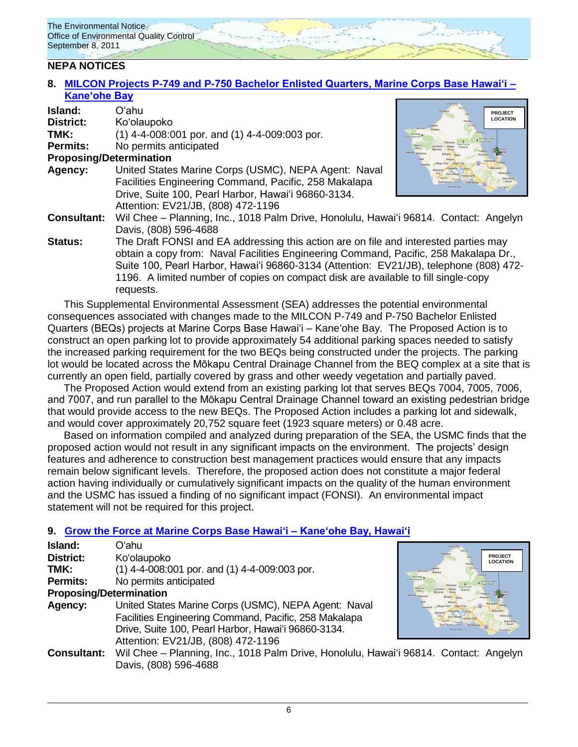# **NEPA NOTICES**

### **8. [MILCON Projects P-749 and P-750 Bachelor Enlisted Quarters, Marine Corps Base Hawaiʻi –](http://oeqc.doh.hawaii.gov/Shared%20Documents/EA_and_EIS_Online_Library/NEPA%20and%20Other%20Documents/2011-09-08-NEPA-Supplemental-EA-P749-and-P750-Kaneohe-Marine-Corps-Base.pdf) [Kaneʻohe Bay](http://oeqc.doh.hawaii.gov/Shared%20Documents/EA_and_EIS_Online_Library/NEPA%20and%20Other%20Documents/2011-09-08-NEPA-Supplemental-EA-P749-and-P750-Kaneohe-Marine-Corps-Base.pdf)**

| Island:                                                                              | Oʻahu                                                                                  | PROJECT                                                    |
|--------------------------------------------------------------------------------------|----------------------------------------------------------------------------------------|------------------------------------------------------------|
| <b>District:</b>                                                                     | Ko'olaupoko                                                                            | <b>LOCATION</b><br>Hauda<br>Punalis,<br>Mokuleis           |
| TMK:                                                                                 | $(1)$ 4-4-008:001 por. and $(1)$ 4-4-009:003 por.                                      | Keapwa<br>Mokuleia<br><b>Front Reserve</b><br>Kahana Valle |
| <b>Permits:</b>                                                                      | No permits anticipated                                                                 | State Park<br>Makaha<br>Kahaluu                            |
| <b>Proposing/Determination</b>                                                       |                                                                                        | Makaha Waian                                               |
| Agency:                                                                              | United States Marine Corps (USMC), NEPA Agent: Naval                                   |                                                            |
|                                                                                      | Facilities Engineering Command, Pacific, 258 Makalapa                                  | Honolulu<br>Märgala Ray                                    |
|                                                                                      | Drive, Suite 100, Pearl Harbor, Hawai'i 96860-3134.                                    |                                                            |
|                                                                                      | Attention: EV21/JB, (808) 472-1196                                                     |                                                            |
| <b>Consultant:</b>                                                                   | Wil Chee - Planning, Inc., 1018 Palm Drive, Honolulu, Hawai'i 96814. Contact: Angelyn  |                                                            |
|                                                                                      | Davis, (808) 596-4688                                                                  |                                                            |
| <b>Status:</b>                                                                       | The Draft FONSI and EA addressing this action are on file and interested parties may   |                                                            |
| obtain a copy from: Naval Facilities Engineering Command, Pacific, 258 Makalapa Dr., |                                                                                        |                                                            |
|                                                                                      | Suite 100, Pearl Harbor, Hawai'i 96860-3134 (Attention: EV21/JB), telephone (808) 472- |                                                            |

one (808) 472-1196. A limited number of copies on compact disk are available to fill single-copy requests.

This Supplemental Environmental Assessment (SEA) addresses the potential environmental consequences associated with changes made to the MILCON P-749 and P-750 Bachelor Enlisted Quarters (BEQs) projects at Marine Corps Base Hawaiʻi – Kaneʻohe Bay. The Proposed Action is to construct an open parking lot to provide approximately 54 additional parking spaces needed to satisfy the increased parking requirement for the two BEQs being constructed under the projects. The parking lot would be located across the Mōkapu Central Drainage Channel from the BEQ complex at a site that is currently an open field, partially covered by grass and other weedy vegetation and partially paved.

The Proposed Action would extend from an existing parking lot that serves BEQs 7004, 7005, 7006, and 7007, and run parallel to the Mōkapu Central Drainage Channel toward an existing pedestrian bridge that would provide access to the new BEQs. The Proposed Action includes a parking lot and sidewalk, and would cover approximately 20,752 square feet (1923 square meters) or 0.48 acre.

Based on information compiled and analyzed during preparation of the SEA, the USMC finds that the proposed action would not result in any significant impacts on the environment. The projects' design features and adherence to construction best management practices would ensure that any impacts remain below significant levels. Therefore, the proposed action does not constitute a major federal action having individually or cumulatively significant impacts on the quality of the human environment and the USMC has issued a finding of no significant impact (FONSI). An environmental impact statement will not be required for this project.

# **9. [Grow the Force at Marine Corps Base Hawaiʻi –](http://oeqc.doh.hawaii.gov/Shared%20Documents/EA_and_EIS_Online_Library/NEPA%20and%20Other%20Documents/2011-09-08-NEPA-FEA-Grow-the-Force-Kaneohe-Marine-Corps-Base.pdf) Kaneʻohe Bay, Hawai'i**

| Island:                        | Oʻahu                                                                                 | Kowela Bay                                             |
|--------------------------------|---------------------------------------------------------------------------------------|--------------------------------------------------------|
| District:                      | Koʻolaupoko                                                                           | Kahuku<br>Ponukeg<br><b>PROJECT</b><br><b>LOCATION</b> |
| TMK:                           | $(1)$ 4-4-008:001 por. and $(1)$ 4-4-009:003 por.                                     | Punaluu                                                |
| <b>Permits:</b>                | No permits anticipated                                                                | <b>Forest Reserve</b><br>Kahana Valley<br>State Park   |
| <b>Proposing/Determination</b> |                                                                                       | Makaha.<br>Miliani                                     |
| Agency:                        | United States Marine Corps (USMC), NEPA Agent: Naval                                  |                                                        |
|                                | Facilities Engineering Command, Pacific, 258 Makalapa                                 |                                                        |
|                                | Drive, Suite 100, Pearl Harbor, Hawai'i 96860-3134.                                   | Ewa Beach Point<br>Honolulu<br>Mamala Bay<br>Anazwina  |
|                                | Attention: EV21/JB, (808) 472-1196                                                    |                                                        |
| <b>Consultant:</b>             | Wil Chee - Planning, Inc., 1018 Palm Drive, Honolulu, Hawai'i 96814. Contact: Angelyn |                                                        |
|                                | Davis, (808) 596-4688                                                                 |                                                        |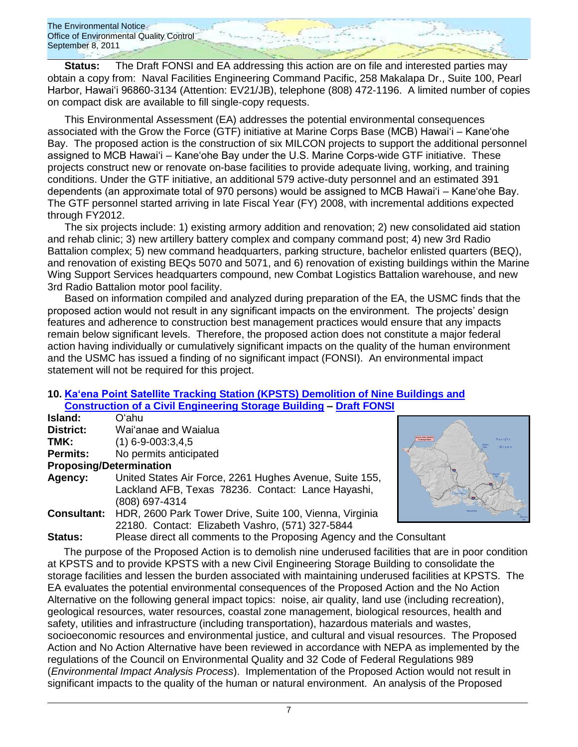**Status:** The Draft FONSI and EA addressing this action are on file and interested parties may obtain a copy from: Naval Facilities Engineering Command Pacific, 258 Makalapa Dr., Suite 100, Pearl Harbor, Hawai'i 96860-3134 (Attention: EV21/JB), telephone (808) 472-1196. A limited number of copies on compact disk are available to fill single-copy requests.

This Environmental Assessment (EA) addresses the potential environmental consequences associated with the Grow the Force (GTF) initiative at Marine Corps Base (MCB) Hawaiʻi – Kaneʻohe Bay. The proposed action is the construction of six MILCON projects to support the additional personnel assigned to MCB Hawaiʻi – Kaneʻohe Bay under the U.S. Marine Corps-wide GTF initiative. These projects construct new or renovate on-base facilities to provide adequate living, working, and training conditions. Under the GTF initiative, an additional 579 active-duty personnel and an estimated 391 dependents (an approximate total of 970 persons) would be assigned to MCB Hawaiʻi – Kaneʻohe Bay. The GTF personnel started arriving in late Fiscal Year (FY) 2008, with incremental additions expected through FY2012.

The six projects include: 1) existing armory addition and renovation; 2) new consolidated aid station and rehab clinic; 3) new artillery battery complex and company command post; 4) new 3rd Radio Battalion complex; 5) new command headquarters, parking structure, bachelor enlisted quarters (BEQ), and renovation of existing BEQs 5070 and 5071, and 6) renovation of existing buildings within the Marine Wing Support Services headquarters compound, new Combat Logistics Battalion warehouse, and new 3rd Radio Battalion motor pool facility.

Based on information compiled and analyzed during preparation of the EA, the USMC finds that the proposed action would not result in any significant impacts on the environment. The projects' design features and adherence to construction best management practices would ensure that any impacts remain below significant levels. Therefore, the proposed action does not constitute a major federal action having individually or cumulatively significant impacts on the quality of the human environment and the USMC has issued a finding of no significant impact (FONSI). An environmental impact statement will not be required for this project.

Pacific

#### **10. [Ka'ena Point Satellite Tracking Station \(KPSTS\) Demolition of Nine Buildings and](http://oeqc.doh.hawaii.gov/Shared%20Documents/EA_and_EIS_Online_Library/NEPA%20and%20Other%20Documents/2011-09-08-NEPA-DEA-Kaena-Point-Satellite-Station-Demolition-Construction.pdf)  [Construction of a Civil Engineering Storage Building](http://oeqc.doh.hawaii.gov/Shared%20Documents/EA_and_EIS_Online_Library/NEPA%20and%20Other%20Documents/2011-09-08-NEPA-DEA-Kaena-Point-Satellite-Station-Demolition-Construction.pdf)**

|                                | <u>Consulation of a Civil Engineering Storage Dunung – Dian Foron</u> |                            |
|--------------------------------|-----------------------------------------------------------------------|----------------------------|
| Island:                        | Oʻahu                                                                 |                            |
| District:                      | Wai'anae and Waialua                                                  |                            |
| TMK:                           | $(1)$ 6-9-003:3,4,5                                                   | <b>Translation Literia</b> |
| <b>Permits:</b>                | No permits anticipated                                                |                            |
| <b>Proposing/Determination</b> |                                                                       |                            |
| Agency:                        | United States Air Force, 2261 Hughes Avenue, Suite 155,               |                            |
|                                | Lackland AFB, Texas 78236. Contact: Lance Hayashi,                    |                            |
|                                | (808) 697-4314                                                        |                            |
| <b>Consultant:</b>             | HDR, 2600 Park Tower Drive, Suite 100, Vienna, Virginia               |                            |
|                                | 22180. Contact: Elizabeth Vashro, (571) 327-5844                      |                            |
| <b>Status:</b>                 | Please direct all comments to the Proposing Agency and the Consultant |                            |

The purpose of the Proposed Action is to demolish nine underused facilities that are in poor condition at KPSTS and to provide KPSTS with a new Civil Engineering Storage Building to consolidate the storage facilities and lessen the burden associated with maintaining underused facilities at KPSTS. The EA evaluates the potential environmental consequences of the Proposed Action and the No Action Alternative on the following general impact topics: noise, air quality, land use (including recreation), geological resources, water resources, coastal zone management, biological resources, health and safety, utilities and infrastructure (including transportation), hazardous materials and wastes, socioeconomic resources and environmental justice, and cultural and visual resources. The Proposed Action and No Action Alternative have been reviewed in accordance with NEPA as implemented by the regulations of the Council on Environmental Quality and 32 Code of Federal Regulations 989 (*Environmental Impact Analysis Process*). Implementation of the Proposed Action would not result in significant impacts to the quality of the human or natural environment. An analysis of the Proposed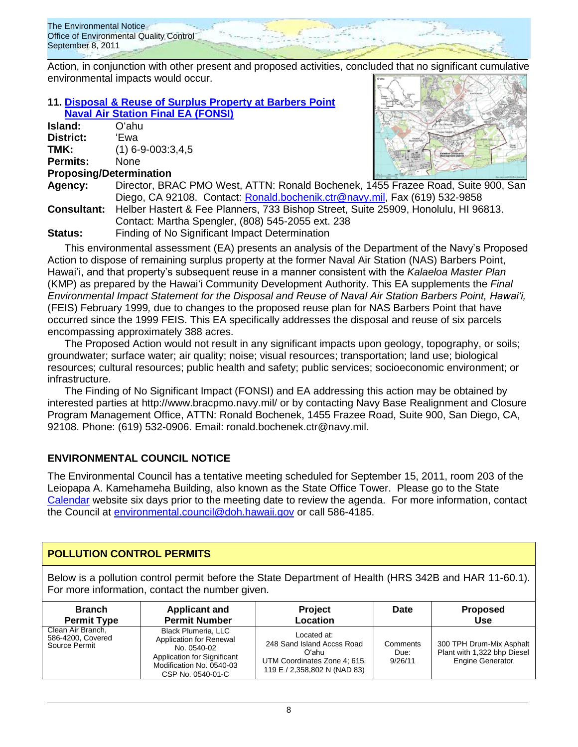

Action, in conjunction with other present and proposed activities, concluded that no significant cumulative environmental impacts would occur.

### **11. [Disposal & Reuse of Surplus Property at Barbers Point](http://oeqc.doh.hawaii.gov/Shared%20Documents/EA_and_EIS_Online_Library/NEPA%20and%20Other%20Documents/2011-09-08-NEPA-FEA-Disposal-and-Reuse-of-Surplus-Property-at-Barbers-Point-Naval-Air-Station.pdf)  [Naval Air Station Final EA](http://oeqc.doh.hawaii.gov/Shared%20Documents/EA_and_EIS_Online_Library/NEPA%20and%20Other%20Documents/2011-09-08-NEPA-FEA-Disposal-and-Reuse-of-Surplus-Property-at-Barbers-Point-Naval-Air-Station.pdf) (FONSI)**

**Island:** Oʻahu **District:** ʻEwa **TMK:** (1) 6-9-003:3,4,5 **Permits:** None **Proposing/Determination**



**Agency:** Director, BRAC PMO West, ATTN: Ronald Bochenek, 1455 Frazee Road, Suite 900, San Diego, CA 92108. Contact: [Ronald.bochenik.ctr@navy.mil,](mailto:Ronald.bochenik.ctr@navy.mil) Fax (619) 532-9858 **Consultant:** Helber Hastert & Fee Planners, 733 Bishop Street, Suite 25909, Honolulu, HI 96813. Contact: Martha Spengler, (808) 545-2055 ext. 238 **Status:** Finding of No Significant Impact Determination

This environmental assessment (EA) presents an analysis of the Department of the Navy's Proposed Action to dispose of remaining surplus property at the former Naval Air Station (NAS) Barbers Point, Hawai'i, and that property's subsequent reuse in a manner consistent with the *Kalaeloa Master Plan* (KMP) as prepared by the Hawaiʻi Community Development Authority. This EA supplements the *Final Environmental Impact Statement for the Disposal and Reuse of Naval Air Station Barbers Point, Hawaiʻi,* (FEIS) February 1999*,* due to changes to the proposed reuse plan for NAS Barbers Point that have occurred since the 1999 FEIS. This EA specifically addresses the disposal and reuse of six parcels encompassing approximately 388 acres.

The Proposed Action would not result in any significant impacts upon geology, topography, or soils; groundwater; surface water; air quality; noise; visual resources; transportation; land use; biological resources; cultural resources; public health and safety; public services; socioeconomic environment; or infrastructure.

The Finding of No Significant Impact (FONSI) and EA addressing this action may be obtained by interested parties at http://www.bracpmo.navy.mil/ or by contacting Navy Base Realignment and Closure Program Management Office, ATTN: Ronald Bochenek, 1455 Frazee Road, Suite 900, San Diego, CA, 92108. Phone: (619) 532-0906. Email: ronald.bochenek.ctr@navy.mil.

# **ENVIRONMENTAL COUNCIL NOTICE**

The Environmental Council has a tentative meeting scheduled for September 15, 2011, room 203 of the Leiopapa A. Kamehameha Building, also known as the State Office Tower. Please go to the State [Calendar](http://calendar.ehawaii.gov/calendar/html/event) website six days prior to the meeting date to review the agenda. For more information, contact the Council at [environmental.council@doh.hawaii.gov](mailto:environmental.council@doh.hawaii.gov) or call 586-4185.

# **POLLUTION CONTROL PERMITS**

Below is a pollution control permit before the State Department of Health (HRS 342B and HAR 11-60.1). For more information, contact the number given.

| <b>Branch</b>                                           | <b>Applicant and</b>                                                                                                                                 | <b>Project</b>                                                                                                     | Date                        | <b>Proposed</b>                                                                    |
|---------------------------------------------------------|------------------------------------------------------------------------------------------------------------------------------------------------------|--------------------------------------------------------------------------------------------------------------------|-----------------------------|------------------------------------------------------------------------------------|
| <b>Permit Type</b>                                      | <b>Permit Number</b>                                                                                                                                 | Location                                                                                                           |                             | <b>Use</b>                                                                         |
| Clean Air Branch,<br>586-4200, Covered<br>Source Permit | <b>Black Plumeria, LLC</b><br>Application for Renewal<br>No. 0540-02<br>Application for Significant<br>Modification No. 0540-03<br>CSP No. 0540-01-C | Located at:<br>248 Sand Island Accss Road<br>Oʻahu<br>UTM Coordinates Zone 4; 615,<br>119 E / 2,358,802 N (NAD 83) | Comments<br>Due:<br>9/26/11 | 300 TPH Drum-Mix Asphalt<br>Plant with 1,322 bhp Diesel<br><b>Engine Generator</b> |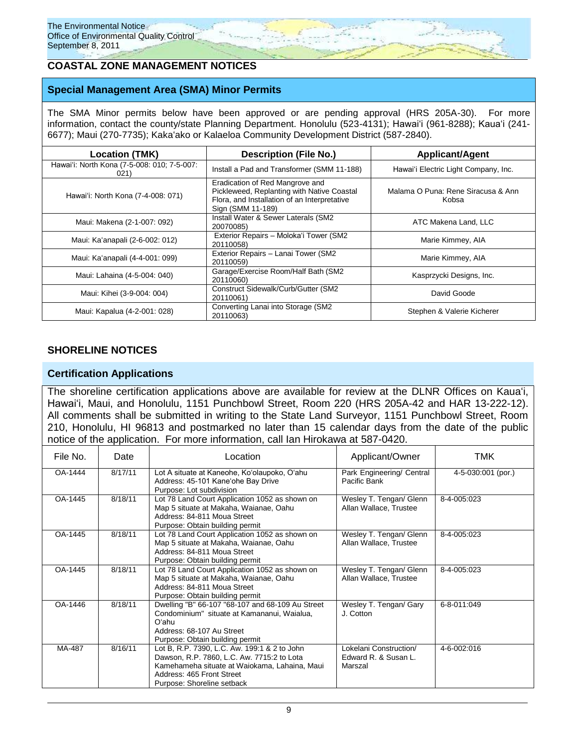# **COASTAL ZONE MANAGEMENT NOTICES**

### **Special Management Area (SMA) Minor Permits**

The SMA Minor permits below have been approved or are pending approval (HRS 205A-30). For more information, contact the county/state Planning Department. Honolulu (523-4131); Hawaiʻi (961-8288); Kauaʻi (241-6677); Maui (270-7735); Kakaʻako or Kalaeloa Community Development District (587-2840).

| <b>Location (TMK)</b>                               | <b>Description (File No.)</b>                                                                                                                      | <b>Applicant/Agent</b>                      |  |
|-----------------------------------------------------|----------------------------------------------------------------------------------------------------------------------------------------------------|---------------------------------------------|--|
| Hawai'i: North Kona (7-5-008: 010; 7-5-007:<br>021) | Install a Pad and Transformer (SMM 11-188)                                                                                                         | Hawai'i Electric Light Company, Inc.        |  |
| Hawai'i: North Kona (7-4-008: 071)                  | Eradication of Red Mangrove and<br>Pickleweed, Replanting with Native Coastal<br>Flora, and Installation of an Interpretative<br>Sign (SMM 11-189) | Malama O Puna: Rene Siracusa & Ann<br>Kobsa |  |
| Maui: Makena (2-1-007: 092)                         | Install Water & Sewer Laterals (SM2<br>20070085)                                                                                                   | ATC Makena Land, LLC                        |  |
| Maui: Ka'anapali (2-6-002: 012)                     | Exterior Repairs - Moloka'i Tower (SM2<br>20110058)                                                                                                | Marie Kimmey, AIA                           |  |
| Maui: Ka'anapali (4-4-001: 099)                     | Exterior Repairs - Lanai Tower (SM2<br>20110059)                                                                                                   | Marie Kimmey, AIA                           |  |
| Maui: Lahaina (4-5-004: 040)                        | Garage/Exercise Room/Half Bath (SM2<br>20110060)                                                                                                   | Kasprzycki Designs, Inc.                    |  |
| Maui: Kihei (3-9-004: 004)                          | Construct Sidewalk/Curb/Gutter (SM2<br>20110061)                                                                                                   | David Goode                                 |  |
| Maui: Kapalua (4-2-001: 028)                        | Converting Lanai into Storage (SM2<br>20110063)                                                                                                    | Stephen & Valerie Kicherer                  |  |

### **SHORELINE NOTICES**

### **Certification Applications**

The shoreline certification applications above are available for review at the DLNR Offices on Kauaʻi, Hawaiʻi, Maui, and Honolulu, 1151 Punchbowl Street, Room 220 (HRS 205A-42 and HAR 13-222-12). All comments shall be submitted in writing to the State Land Surveyor, 1151 Punchbowl Street, Room 210, Honolulu, HI 96813 and postmarked no later than 15 calendar days from the date of the public notice of the application. For more information, call Ian Hirokawa at 587-0420.

| File No. | Date    | Location                                                                                                                                                                                               | Applicant/Owner                                           | TMK                      |
|----------|---------|--------------------------------------------------------------------------------------------------------------------------------------------------------------------------------------------------------|-----------------------------------------------------------|--------------------------|
| OA-1444  | 8/17/11 | Lot A situate at Kaneohe, Ko'olaupoko, O'ahu<br>Address: 45-101 Kane'ohe Bay Drive<br>Purpose: Lot subdivision                                                                                         | Park Engineering/ Central<br>Pacific Bank                 | $4 - 5 - 030:001$ (por.) |
| OA-1445  | 8/18/11 | Lot 78 Land Court Application 1052 as shown on<br>Map 5 situate at Makaha, Waianae, Oahu<br>Address: 84-811 Moua Street<br>Purpose: Obtain building permit                                             | Wesley T. Tengan/ Glenn<br>Allan Wallace, Trustee         | 8-4-005:023              |
| OA-1445  | 8/18/11 | Lot 78 Land Court Application 1052 as shown on<br>Map 5 situate at Makaha, Waianae, Oahu<br>Address: 84-811 Moua Street<br>Purpose: Obtain building permit                                             | Wesley T. Tengan/ Glenn<br>Allan Wallace, Trustee         | 8-4-005:023              |
| OA-1445  | 8/18/11 | Lot 78 Land Court Application 1052 as shown on<br>Map 5 situate at Makaha, Waianae, Oahu<br>Address: 84-811 Moua Street<br>Purpose: Obtain building permit                                             | Wesley T. Tengan/ Glenn<br>Allan Wallace, Trustee         | 8-4-005:023              |
| OA-1446  | 8/18/11 | Dwelling "B" 66-107 "68-107 and 68-109 Au Street<br>Condominium" situate at Kamananui, Waialua,<br>Oʻahu<br>Address: 68-107 Au Street<br>Purpose: Obtain building permit                               | Wesley T. Tengan/ Gary<br>J. Cotton                       | 6-8-011:049              |
| MA-487   | 8/16/11 | Lot B, R.P. 7390, L.C. Aw. 199:1 & 2 to John<br>Dawson, R.P. 7860, L.C. Aw. 7715:2 to Lota<br>Kamehameha situate at Waiokama, Lahaina, Maui<br>Address: 465 Front Street<br>Purpose: Shoreline setback | Lokelani Construction/<br>Edward R. & Susan L.<br>Marszal | 4-6-002:016              |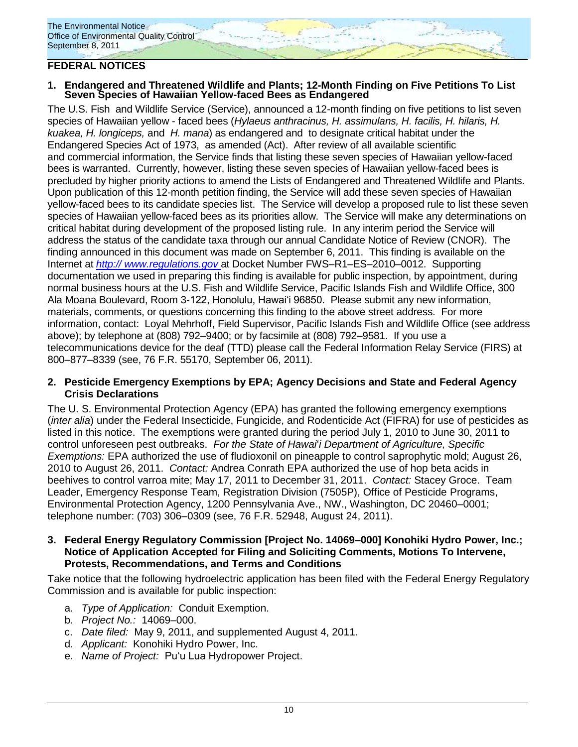# **FEDERAL NOTICES**

### **1. Endangered and Threatened Wildlife and Plants; 12-Month Finding on Five Petitions To List Seven Species of Hawaiian Yellow-faced Bees as Endangered**

The U.S. Fish and Wildlife Service (Service), announced a 12-month finding on five petitions to list seven species of Hawaiian yellow - faced bees (*Hylaeus anthracinus, H. assimulans, H. facilis, H. hilaris, H. kuakea, H. longiceps,* and *H. mana*) as endangered and to designate critical habitat under the Endangered Species Act of 1973, as amended (Act). After review of all available scientific and commercial information, the Service finds that listing these seven species of Hawaiian yellow-faced bees is warranted. Currently, however, listing these seven species of Hawaiian yellow-faced bees is precluded by higher priority actions to amend the Lists of Endangered and Threatened Wildlife and Plants. Upon publication of this 12-month petition finding, the Service will add these seven species of Hawaiian yellow-faced bees to its candidate species list. The Service will develop a proposed rule to list these seven species of Hawaiian yellow-faced bees as its priorities allow. The Service will make any determinations on critical habitat during development of the proposed listing rule. In any interim period the Service will address the status of the candidate taxa through our annual Candidate Notice of Review (CNOR). The finding announced in this document was made on September 6, 2011. This finding is available on the Internet at *[http:// www.regulations.gov](http://www.regulations.gov/)* at Docket Number FWS–R1–ES–2010–0012. Supporting documentation we used in preparing this finding is available for public inspection, by appointment, during normal business hours at the U.S. Fish and Wildlife Service, Pacific Islands Fish and Wildlife Office, 300 Ala Moana Boulevard, Room 3-122, Honolulu, Hawai'i 96850. Please submit any new information, materials, comments, or questions concerning this finding to the above street address. For more information, contact: Loyal Mehrhoff, Field Supervisor, Pacific Islands Fish and Wildlife Office (see address above); by telephone at (808) 792–9400; or by facsimile at (808) 792–9581. If you use a telecommunications device for the deaf (TTD) please call the Federal Information Relay Service (FIRS) at 800–877–8339 (see, 76 F.R. 55170, September 06, 2011).

### **2. Pesticide Emergency Exemptions by EPA; Agency Decisions and State and Federal Agency Crisis Declarations**

The U. S. Environmental Protection Agency (EPA) has granted the following emergency exemptions (*inter alia*) under the Federal Insecticide, Fungicide, and Rodenticide Act (FIFRA) for use of pesticides as listed in this notice. The exemptions were granted during the period July 1, 2010 to June 30, 2011 to control unforeseen pest outbreaks. *For the State of Hawai*'*i Department of Agriculture, Specific Exemptions:* EPA authorized the use of fludioxonil on pineapple to control saprophytic mold; August 26, 2010 to August 26, 2011. *Contact:* Andrea Conrath EPA authorized the use of hop beta acids in beehives to control varroa mite; May 17, 2011 to December 31, 2011. *Contact:* Stacey Groce. Team Leader, Emergency Response Team, Registration Division (7505P), Office of Pesticide Programs, Environmental Protection Agency, 1200 Pennsylvania Ave., NW., Washington, DC 20460–0001; telephone number: (703) 306–0309 (see, 76 F.R. 52948, August 24, 2011).

### **3. Federal Energy Regulatory Commission [Project No. 14069–000] Konohiki Hydro Power, Inc.; Notice of Application Accepted for Filing and Soliciting Comments, Motions To Intervene, Protests, Recommendations, and Terms and Conditions**

Take notice that the following hydroelectric application has been filed with the Federal Energy Regulatory Commission and is available for public inspection:

- a. *Type of Application:* Conduit Exemption.
- b. *Project No.:* 14069–000.
- c. *Date filed:* May 9, 2011, and supplemented August 4, 2011.
- d. *Applicant:* Konohiki Hydro Power, Inc.
- e. *Name of Project:* Pu'u Lua Hydropower Project.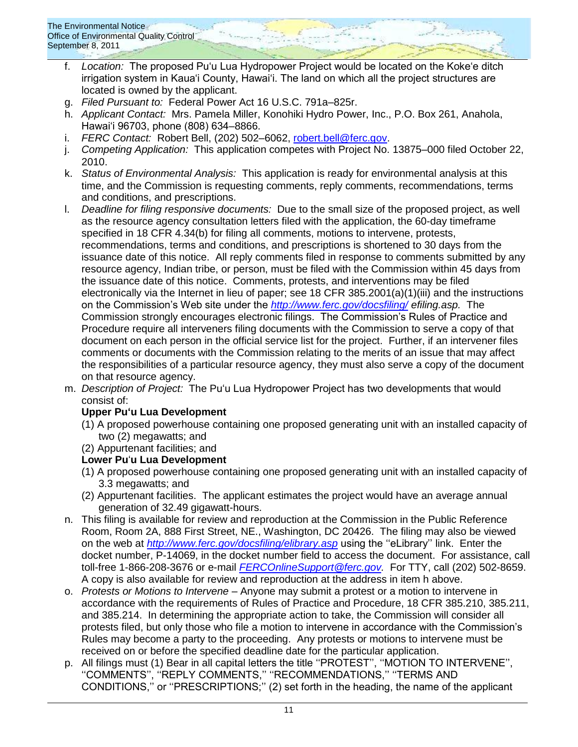- f. *Location:* The proposed Pu'u Lua Hydropower Project would be located on the Koke'e ditch irrigation system in Kaua'i County, Hawai'i. The land on which all the project structures are located is owned by the applicant.
- g. *Filed Pursuant to:* Federal Power Act 16 U.S.C. 791a–825r.
- h. *Applicant Contact:* Mrs. Pamela Miller, Konohiki Hydro Power, Inc., P.O. Box 261, Anahola, Hawai'i 96703, phone (808) 634–8866.
- i. *FERC Contact:* Robert Bell, (202) 502–6062, [robert.bell@ferc.gov.](mailto:robert.bell@ferc.gov)
- j. *Competing Application:* This application competes with Project No. 13875–000 filed October 22, 2010.
- k. *Status of Environmental Analysis:* This application is ready for environmental analysis at this time, and the Commission is requesting comments, reply comments, recommendations, terms and conditions, and prescriptions.
- l. *Deadline for filing responsive documents:* Due to the small size of the proposed project, as well as the resource agency consultation letters filed with the application, the 60-day timeframe specified in 18 CFR 4.34(b) for filing all comments, motions to intervene, protests, recommendations, terms and conditions, and prescriptions is shortened to 30 days from the issuance date of this notice. All reply comments filed in response to comments submitted by any resource agency, Indian tribe, or person, must be filed with the Commission within 45 days from the issuance date of this notice. Comments, protests, and interventions may be filed electronically via the Internet in lieu of paper; see 18 CFR 385.2001(a)(1)(iii) and the instructions on the Commission's Web site under the *<http://www.ferc.gov/docsfiling/> efiling.asp.* The Commission strongly encourages electronic filings. The Commission's Rules of Practice and Procedure require all interveners filing documents with the Commission to serve a copy of that document on each person in the official service list for the project. Further, if an intervener files comments or documents with the Commission relating to the merits of an issue that may affect the responsibilities of a particular resource agency, they must also serve a copy of the document on that resource agency.
- m. *Description of Project:* The Pu'u Lua Hydropower Project has two developments that would consist of:

# **Upper Pu'u Lua Development**

- (1) A proposed powerhouse containing one proposed generating unit with an installed capacity of two (2) megawatts; and
- (2) Appurtenant facilities; and

# **Lower Pu**'**u Lua Development**

- (1) A proposed powerhouse containing one proposed generating unit with an installed capacity of 3.3 megawatts; and
- (2) Appurtenant facilities. The applicant estimates the project would have an average annual generation of 32.49 gigawatt-hours.
- n. This filing is available for review and reproduction at the Commission in the Public Reference Room, Room 2A, 888 First Street, NE., Washington, DC 20426. The filing may also be viewed on the web at *<http://www.ferc.gov/docsfiling/elibrary.asp>* using the ''eLibrary'' link. Enter the docket number, P-14069, in the docket number field to access the document. For assistance, call toll-free 1-866-208-3676 or e-mail *[FERCOnlineSupport@ferc.gov.](mailto:FERCOnlineSupport@ferc.gov)* For TTY, call (202) 502-8659. A copy is also available for review and reproduction at the address in item h above.
- o. *Protests or Motions to Intervene* Anyone may submit a protest or a motion to intervene in accordance with the requirements of Rules of Practice and Procedure, 18 CFR 385.210, 385.211, and 385.214. In determining the appropriate action to take, the Commission will consider all protests filed, but only those who file a motion to intervene in accordance with the Commission's Rules may become a party to the proceeding. Any protests or motions to intervene must be received on or before the specified deadline date for the particular application.
- p. All filings must (1) Bear in all capital letters the title ''PROTEST'', ''MOTION TO INTERVENE'', ''COMMENTS'', ''REPLY COMMENTS,'' ''RECOMMENDATIONS,'' ''TERMS AND CONDITIONS,'' or ''PRESCRIPTIONS;'' (2) set forth in the heading, the name of the applicant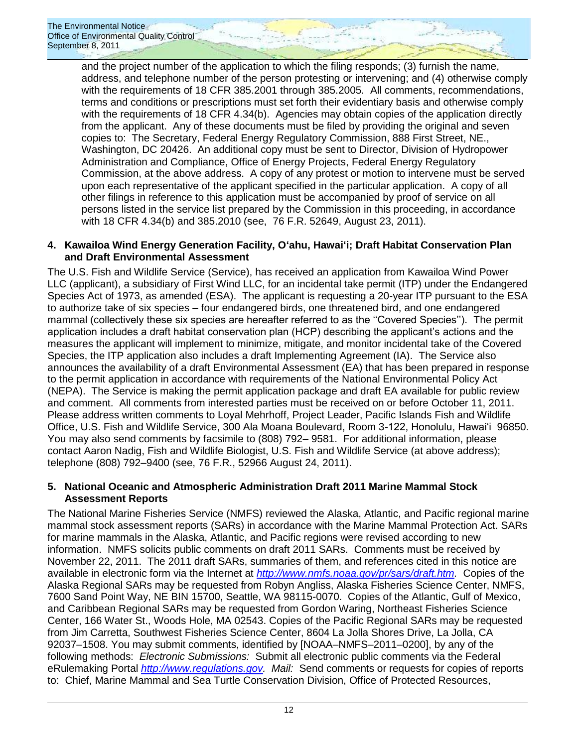and the project number of the application to which the filing responds; (3) furnish the name, address, and telephone number of the person protesting or intervening; and (4) otherwise comply with the requirements of 18 CFR 385.2001 through 385.2005. All comments, recommendations, terms and conditions or prescriptions must set forth their evidentiary basis and otherwise comply with the requirements of 18 CFR 4.34(b). Agencies may obtain copies of the application directly from the applicant. Any of these documents must be filed by providing the original and seven copies to: The Secretary, Federal Energy Regulatory Commission, 888 First Street, NE., Washington, DC 20426. An additional copy must be sent to Director, Division of Hydropower Administration and Compliance, Office of Energy Projects, Federal Energy Regulatory Commission, at the above address. A copy of any protest or motion to intervene must be served upon each representative of the applicant specified in the particular application. A copy of all other filings in reference to this application must be accompanied by proof of service on all persons listed in the service list prepared by the Commission in this proceeding, in accordance with 18 CFR 4.34(b) and 385.2010 (see, 76 F.R. 52649, August 23, 2011).

### **4. Kawailoa Wind Energy Generation Facility, Oʻahu, Hawaiʻi; Draft Habitat Conservation Plan and Draft Environmental Assessment**

The U.S. Fish and Wildlife Service (Service), has received an application from Kawailoa Wind Power LLC (applicant), a subsidiary of First Wind LLC, for an incidental take permit (ITP) under the Endangered Species Act of 1973, as amended (ESA). The applicant is requesting a 20-year ITP pursuant to the ESA to authorize take of six species – four endangered birds, one threatened bird, and one endangered mammal (collectively these six species are hereafter referred to as the ''Covered Species''). The permit application includes a draft habitat conservation plan (HCP) describing the applicant's actions and the measures the applicant will implement to minimize, mitigate, and monitor incidental take of the Covered Species, the ITP application also includes a draft Implementing Agreement (IA). The Service also announces the availability of a draft Environmental Assessment (EA) that has been prepared in response to the permit application in accordance with requirements of the National Environmental Policy Act (NEPA). The Service is making the permit application package and draft EA available for public review and comment. All comments from interested parties must be received on or before October 11, 2011. Please address written comments to Loyal Mehrhoff, Project Leader, Pacific Islands Fish and Wildlife Office, U.S. Fish and Wildlife Service, 300 Ala Moana Boulevard, Room 3-122, Honolulu, Hawai'i 96850. You may also send comments by facsimile to (808) 792– 9581. For additional information, please contact Aaron Nadig, Fish and Wildlife Biologist, U.S. Fish and Wildlife Service (at above address); telephone (808) 792–9400 (see, 76 F.R., 52966 August 24, 2011).

# **5. National Oceanic and Atmospheric Administration Draft 2011 Marine Mammal Stock Assessment Reports**

The National Marine Fisheries Service (NMFS) reviewed the Alaska, Atlantic, and Pacific regional marine mammal stock assessment reports (SARs) in accordance with the Marine Mammal Protection Act. SARs for marine mammals in the Alaska, Atlantic, and Pacific regions were revised according to new information. NMFS solicits public comments on draft 2011 SARs. Comments must be received by November 22, 2011. The 2011 draft SARs, summaries of them, and references cited in this notice are available in electronic form via the Internet at *[http://www.nmfs.noaa.gov/pr/sars/draft.htm.](http://www.nmfs.noaa.gov/pr/sars/draft.htm)* Copies of the Alaska Regional SARs may be requested from Robyn Angliss, Alaska Fisheries Science Center, NMFS, 7600 Sand Point Way, NE BIN 15700, Seattle, WA 98115-0070. Copies of the Atlantic, Gulf of Mexico, and Caribbean Regional SARs may be requested from Gordon Waring, Northeast Fisheries Science Center, 166 Water St., Woods Hole, MA 02543. Copies of the Pacific Regional SARs may be requested from Jim Carretta, Southwest Fisheries Science Center, 8604 La Jolla Shores Drive, La Jolla, CA 92037–1508. You may submit comments, identified by [NOAA–NMFS–2011–0200], by any of the following methods: *Electronic Submissions:* Submit all electronic public comments via the Federal eRulemaking Portal *[http://www.regulations.gov.](http://www.regulations.gov/) Mail:* Send comments or requests for copies of reports to: Chief, Marine Mammal and Sea Turtle Conservation Division, Office of Protected Resources,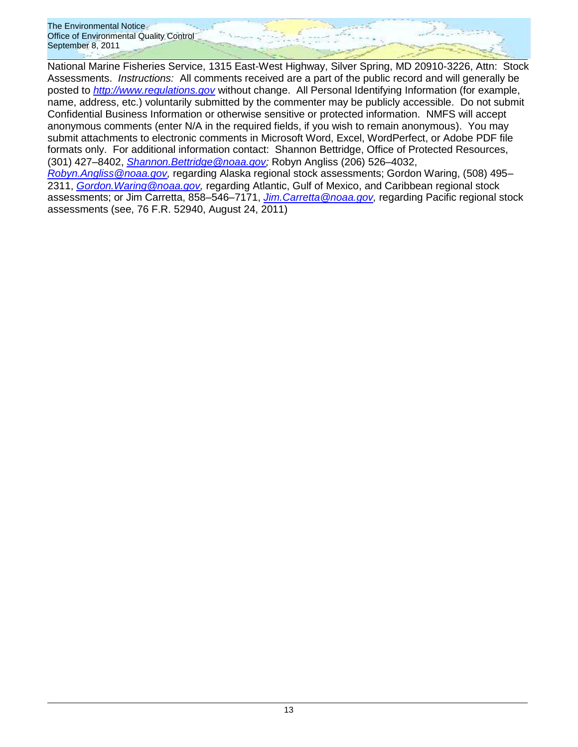National Marine Fisheries Service, 1315 East-West Highway, Silver Spring, MD 20910-3226, Attn: Stock Assessments. *Instructions:* All comments received are a part of the public record and will generally be posted to *[http://www.regulations.gov](http://www.regulations.gov/)* without change. All Personal Identifying Information (for example, name, address, etc.) voluntarily submitted by the commenter may be publicly accessible. Do not submit Confidential Business Information or otherwise sensitive or protected information. NMFS will accept anonymous comments (enter N/A in the required fields, if you wish to remain anonymous). You may submit attachments to electronic comments in Microsoft Word, Excel, WordPerfect, or Adobe PDF file formats only. For additional information contact: Shannon Bettridge, Office of Protected Resources, (301) 427–8402, *[Shannon.Bettridge@noaa.gov;](mailto:Shannon.Bettridge@noaa.gov)* Robyn Angliss (206) 526–4032,

*[Robyn.Angliss@noaa.gov,](mailto:Robyn.Angliss@noaa.gov)* regarding Alaska regional stock assessments; Gordon Waring, (508) 495– 2311, *[Gordon.Waring@noaa.gov,](mailto:Gordon.Waring@noaa.gov)* regarding Atlantic, Gulf of Mexico, and Caribbean regional stock assessments; or Jim Carretta, 858–546–7171, *[Jim.Carretta@noaa.gov,](mailto:Jim.Carretta@noaa.gov)* regarding Pacific regional stock assessments (see, 76 F.R. 52940, August 24, 2011)